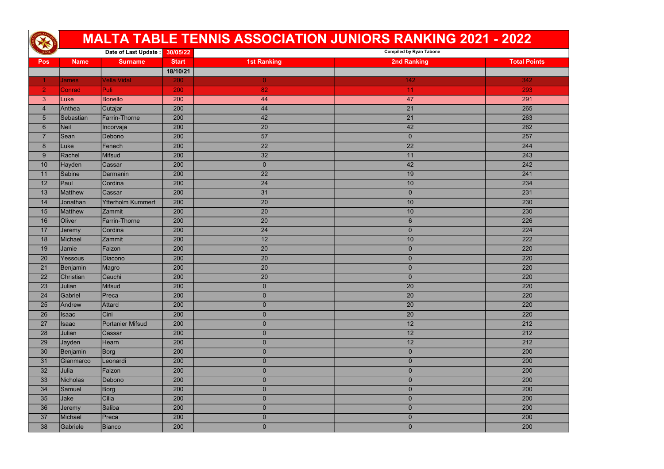|                |                 |                          |              |                    | <b>MALTA TABLE TENNIS ASSOCIATION JUNIORS RANKING 2021 - 2022</b> |                     |
|----------------|-----------------|--------------------------|--------------|--------------------|-------------------------------------------------------------------|---------------------|
|                |                 | Date of Last Update:     | 30/05/22     |                    | <b>Compiled by Ryan Tabone</b>                                    |                     |
| <b>Pos</b>     | <b>Name</b>     | <b>Surname</b>           | <b>Start</b> | <b>1st Ranking</b> | <b>2nd Ranking</b>                                                | <b>Total Points</b> |
|                |                 |                          | 18/10/21     |                    |                                                                   |                     |
|                | <b>James</b>    | <b>Vella Vidal</b>       | 200          | $\overline{0}$     | 142                                                               | 342                 |
| $\overline{2}$ | Conrad          | <b>Puli</b>              | 200          | 82                 | 11                                                                | 293                 |
| 3              | Luke            | <b>Bonello</b>           | 200          | 44                 | 47                                                                | 291                 |
| $\overline{4}$ | Anthea          | Cutajar                  | 200          | 44                 | 21                                                                | 265                 |
| $\overline{5}$ | Sebastian       | Farrin-Thorne            | 200          | 42                 | 21                                                                | 263                 |
| $6\phantom{1}$ | Neil            | Incorvaja                | 200          | 20                 | 42                                                                | 262                 |
| $\overline{7}$ | Sean            | Debono                   | 200          | 57                 | $\mathbf 0$                                                       | 257                 |
| 8              | Luke            | Fenech                   | 200          | 22                 | $\overline{22}$                                                   | 244                 |
| 9              | Rachel          | Mifsud                   | 200          | 32                 | 11                                                                | 243                 |
| 10             | Hayden          | Cassar                   | 200          | $\mathbf 0$        | 42                                                                | 242                 |
| 11             | Sabine          | Darmanin                 | 200          | 22                 | 19                                                                | 241                 |
| 12             | Paul            | Cordina                  | 200          | 24                 | 10                                                                | 234                 |
| 13             | <b>Matthew</b>  | <b>Cassar</b>            | 200          | 31                 | $\overline{0}$                                                    | 231                 |
| 14             | Jonathan        | <b>Ytterholm Kummert</b> | 200          | 20                 | 10                                                                | 230                 |
| 15             | <b>Matthew</b>  | <b>Zammit</b>            | 200          | 20                 | 10                                                                | 230                 |
| 16             | <b>Oliver</b>   | <b>Farrin-Thorne</b>     | 200          | 20                 | $6\phantom{1}$                                                    | 226                 |
| 17             | Jeremy          | Cordina                  | 200          | 24                 | $\mathbf 0$                                                       | 224                 |
| 18             | Michael         | Zammit                   | 200          | 12                 | 10                                                                | 222                 |
| 19             | Jamie           | Falzon                   | 200          | 20                 | $\mathbf 0$                                                       | 220                 |
| 20             | Yessous         | Diacono                  | 200          | 20                 | $\overline{0}$                                                    | 220                 |
| 21             | <b>Benjamin</b> | Magro                    | 200          | 20                 | $\mathbf 0$                                                       | 220                 |
| 22             | Christian       | Cauchi                   | 200          | 20                 | $\overline{0}$                                                    | 220                 |
| 23             | Julian          | Mifsud                   | 200          | $\overline{0}$     | 20                                                                | 220                 |
| 24             | Gabriel         | <b>Preca</b>             | 200          | $\overline{0}$     | 20                                                                | 220                 |
| 25             | Andrew          | Attard                   | 200          | $\overline{0}$     | $\overline{20}$                                                   | 220                 |
| 26             | Isaac           | Cini                     | 200          | $\overline{0}$     | 20                                                                | 220                 |
| 27             | Isaac           | Portanier Mifsud         | 200          | $\pmb{0}$          | 12                                                                | 212                 |
| 28             | Julian          | Cassar                   | 200          | $\overline{0}$     | 12                                                                | 212                 |
| 29             | Jayden          | Hearn                    | 200          | $\overline{0}$     | 12                                                                | 212                 |
| 30             | Benjamin        | Borg                     | 200          | $\overline{0}$     | $\overline{0}$                                                    | 200                 |
| 31             | Gianmarco       | Leonardi                 | 200          | $\overline{0}$     | $\overline{0}$                                                    | 200                 |
| 32             | Julia           | Falzon                   | 200          | $\pmb{0}$          | $\pmb{0}$                                                         | 200                 |
| 33             | Nicholas        | Debono                   | 200          | $\overline{0}$     | $\overline{0}$                                                    | 200                 |
| 34             | Samuel          | Borg                     | 200          | $\overline{0}$     | $\overline{0}$                                                    | 200                 |
| 35             | Jake            | Cilia                    | 200          | $\pmb{0}$          | $\overline{0}$                                                    | 200                 |
| 36             | Jeremy          | Saliba                   | 200          | $\overline{0}$     | $\overline{0}$                                                    | 200                 |
| 37             | Michael         | Preca                    | 200          | $\pmb{0}$          | $\overline{0}$                                                    | 200                 |
| 38             | Gabriele        | Bianco                   | 200          | $\overline{0}$     | $\overline{0}$                                                    | 200                 |

| 342              |  |
|------------------|--|
| 293              |  |
| 291              |  |
| 265              |  |
| 263              |  |
| 262              |  |
| 257              |  |
| 244              |  |
| $\overline{243}$ |  |
| 242              |  |
| 241              |  |
| 234              |  |
| $\overline{231}$ |  |
| 230              |  |
| 230              |  |
| 226              |  |
| 224              |  |
| $\overline{222}$ |  |
| 220              |  |
| 220              |  |
| 220              |  |
| 220              |  |
| 220              |  |
| 220              |  |
| 220              |  |
| 220              |  |
| 212              |  |
| $\overline{212}$ |  |
| 212              |  |
| 200              |  |
| 200              |  |
| 200              |  |
| 200              |  |
| 200              |  |
| 200              |  |
| 200              |  |
| 200              |  |
| 200              |  |
|                  |  |